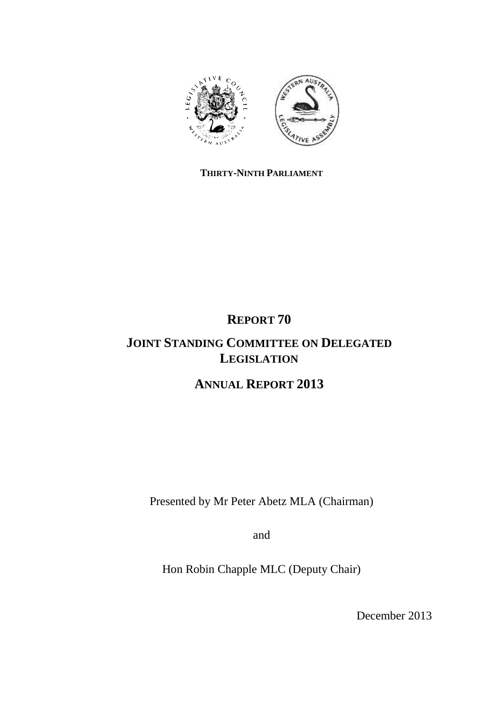

## **THIRTY-NINTH PARLIAMENT**

# **REPORT 70**

# **JOINT STANDING COMMITTEE ON DELEGATED LEGISLATION**

# **ANNUAL REPORT 2013**

Presented by Mr Peter Abetz MLA (Chairman)

and

Hon Robin Chapple MLC (Deputy Chair)

December 2013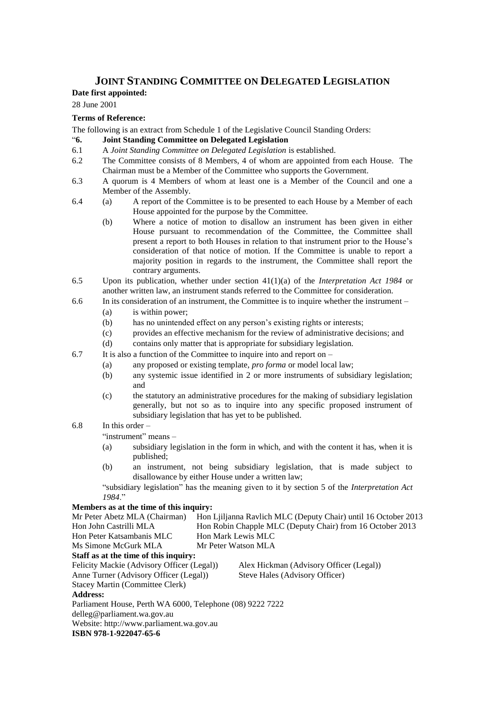## **JOINT STANDING COMMITTEE ON DELEGATED LEGISLATION**

## **Date first appointed:**

28 June 2001

#### **Terms of Reference:**

The following is an extract from Schedule 1 of the Legislative Council Standing Orders:

#### "**6. Joint Standing Committee on Delegated Legislation**

- 6.1 A *Joint Standing Committee on Delegated Legislation* is established.
- 6.2 The Committee consists of 8 Members, 4 of whom are appointed from each House. The Chairman must be a Member of the Committee who supports the Government.
- 6.3 A quorum is 4 Members of whom at least one is a Member of the Council and one a Member of the Assembly.
- 6.4 (a) A report of the Committee is to be presented to each House by a Member of each House appointed for the purpose by the Committee.
	- (b) Where a notice of motion to disallow an instrument has been given in either House pursuant to recommendation of the Committee, the Committee shall present a report to both Houses in relation to that instrument prior to the House's consideration of that notice of motion. If the Committee is unable to report a majority position in regards to the instrument, the Committee shall report the contrary arguments.
- 6.5 Upon its publication, whether under section 41(1)(a) of the *Interpretation Act 1984* or another written law, an instrument stands referred to the Committee for consideration.
- 6.6 In its consideration of an instrument, the Committee is to inquire whether the instrument
	- (a) is within power;
	- (b) has no unintended effect on any person's existing rights or interests;
	- (c) provides an effective mechanism for the review of administrative decisions; and
	- (d) contains only matter that is appropriate for subsidiary legislation.
- 6.7 It is also a function of the Committee to inquire into and report on
	- (a) any proposed or existing template, *pro forma* or model local law;
		- (b) any systemic issue identified in 2 or more instruments of subsidiary legislation; and
		- (c) the statutory an administrative procedures for the making of subsidiary legislation generally, but not so as to inquire into any specific proposed instrument of subsidiary legislation that has yet to be published.
- 6.8 In this order –

"instrument" means –

- (a) subsidiary legislation in the form in which, and with the content it has, when it is published;
- (b) an instrument, not being subsidiary legislation, that is made subject to disallowance by either House under a written law;

"subsidiary legislation" has the meaning given to it by section 5 of the *Interpretation Act 1984*."

#### **Members as at the time of this inquiry:**

| Mr Peter Abetz MLA (Chairman)                             |                     | Hon Ljiljanna Ravlich MLC (Deputy Chair) until 16 October 2013 |  |  |
|-----------------------------------------------------------|---------------------|----------------------------------------------------------------|--|--|
| Hon John Castrilli MLA                                    |                     | Hon Robin Chapple MLC (Deputy Chair) from 16 October 2013      |  |  |
| Hon Peter Katsambanis MLC                                 | Hon Mark Lewis MLC  |                                                                |  |  |
| Ms Simone McGurk MLA                                      | Mr Peter Watson MLA |                                                                |  |  |
| Staff as at the time of this inquiry:                     |                     |                                                                |  |  |
| Felicity Mackie (Advisory Officer (Legal))                |                     | Alex Hickman (Advisory Officer (Legal))                        |  |  |
| Anne Turner (Advisory Officer (Legal))                    |                     | Steve Hales (Advisory Officer)                                 |  |  |
| Stacey Martin (Committee Clerk)                           |                     |                                                                |  |  |
| <b>Address:</b>                                           |                     |                                                                |  |  |
| Parliament House, Perth WA 6000, Telephone (08) 9222 7222 |                     |                                                                |  |  |
| delleg@parliament.wa.gov.au                               |                     |                                                                |  |  |
| Website: http://www.parliament.wa.gov.au                  |                     |                                                                |  |  |
|                                                           |                     |                                                                |  |  |

**ISBN 978-1-922047-65-6**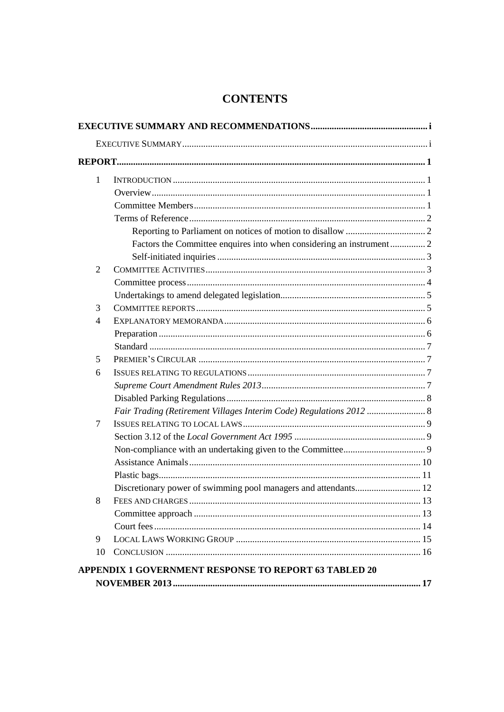## **CONTENTS**

| 1              |                                                                     |
|----------------|---------------------------------------------------------------------|
|                |                                                                     |
|                |                                                                     |
|                |                                                                     |
|                |                                                                     |
|                |                                                                     |
|                |                                                                     |
| $\overline{2}$ |                                                                     |
|                |                                                                     |
|                |                                                                     |
| 3              |                                                                     |
| 4              |                                                                     |
|                |                                                                     |
|                |                                                                     |
| 5              |                                                                     |
| 6              |                                                                     |
|                |                                                                     |
|                |                                                                     |
|                | Fair Trading (Retirement Villages Interim Code) Regulations 2012  8 |
| 7              |                                                                     |
|                |                                                                     |
|                |                                                                     |
|                |                                                                     |
|                |                                                                     |
|                |                                                                     |
| 8              |                                                                     |
|                |                                                                     |
|                |                                                                     |
| 9              |                                                                     |
| 10             |                                                                     |
|                | APPENDIX 1 GOVERNMENT RESPONSE TO REPORT 63 TABLED 20               |
|                |                                                                     |
|                |                                                                     |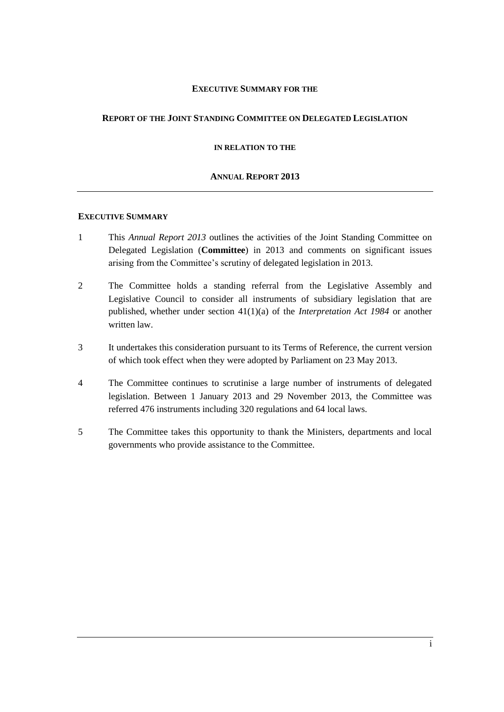#### **EXECUTIVE SUMMARY FOR THE**

#### **REPORT OF THE JOINT STANDING COMMITTEE ON DELEGATED LEGISLATION**

**IN RELATION TO THE**

#### **ANNUAL REPORT 2013**

#### **EXECUTIVE SUMMARY**

- 1 This *Annual Report 2013* outlines the activities of the Joint Standing Committee on Delegated Legislation (**Committee**) in 2013 and comments on significant issues arising from the Committee's scrutiny of delegated legislation in 2013.
- 2 The Committee holds a standing referral from the Legislative Assembly and Legislative Council to consider all instruments of subsidiary legislation that are published, whether under section 41(1)(a) of the *Interpretation Act 1984* or another written law.
- 3 It undertakes this consideration pursuant to its Terms of Reference, the current version of which took effect when they were adopted by Parliament on 23 May 2013.
- 4 The Committee continues to scrutinise a large number of instruments of delegated legislation. Between 1 January 2013 and 29 November 2013, the Committee was referred 476 instruments including 320 regulations and 64 local laws.
- 5 The Committee takes this opportunity to thank the Ministers, departments and local governments who provide assistance to the Committee.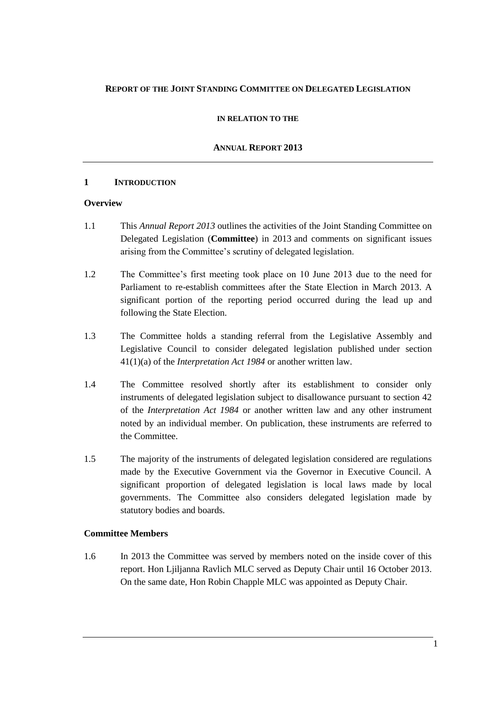#### **REPORT OF THE JOINT STANDING COMMITTEE ON DELEGATED LEGISLATION**

#### **IN RELATION TO THE**

#### **ANNUAL REPORT 2013**

#### **1 INTRODUCTION**

#### **Overview**

- 1.1 This *Annual Report 2013* outlines the activities of the Joint Standing Committee on Delegated Legislation (**Committee**) in 2013 and comments on significant issues arising from the Committee's scrutiny of delegated legislation.
- 1.2 The Committee's first meeting took place on 10 June 2013 due to the need for Parliament to re-establish committees after the State Election in March 2013. A significant portion of the reporting period occurred during the lead up and following the State Election.
- 1.3 The Committee holds a standing referral from the Legislative Assembly and Legislative Council to consider delegated legislation published under section 41(1)(a) of the *Interpretation Act 1984* or another written law.
- 1.4 The Committee resolved shortly after its establishment to consider only instruments of delegated legislation subject to disallowance pursuant to section 42 of the *Interpretation Act 1984* or another written law and any other instrument noted by an individual member. On publication, these instruments are referred to the Committee.
- 1.5 The majority of the instruments of delegated legislation considered are regulations made by the Executive Government via the Governor in Executive Council. A significant proportion of delegated legislation is local laws made by local governments. The Committee also considers delegated legislation made by statutory bodies and boards.

#### **Committee Members**

1.6 In 2013 the Committee was served by members noted on the inside cover of this report. Hon Ljiljanna Ravlich MLC served as Deputy Chair until 16 October 2013. On the same date, Hon Robin Chapple MLC was appointed as Deputy Chair.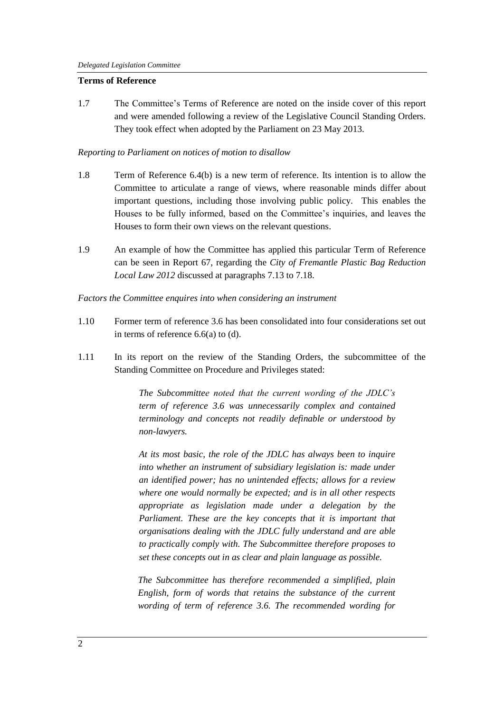#### **Terms of Reference**

1.7 The Committee's Terms of Reference are noted on the inside cover of this report and were amended following a review of the Legislative Council Standing Orders. They took effect when adopted by the Parliament on 23 May 2013.

#### *Reporting to Parliament on notices of motion to disallow*

- 1.8 Term of Reference 6.4(b) is a new term of reference. Its intention is to allow the Committee to articulate a range of views, where reasonable minds differ about important questions, including those involving public policy. This enables the Houses to be fully informed, based on the Committee's inquiries, and leaves the Houses to form their own views on the relevant questions.
- 1.9 An example of how the Committee has applied this particular Term of Reference can be seen in Report 67, regarding the *City of Fremantle Plastic Bag Reduction Local Law 2012* discussed at paragraphs 7.13 to 7.18.

*Factors the Committee enquires into when considering an instrument*

- 1.10 Former term of reference 3.6 has been consolidated into four considerations set out in terms of reference 6.6(a) to (d).
- 1.11 In its report on the review of the Standing Orders, the subcommittee of the Standing Committee on Procedure and Privileges stated:

*The Subcommittee noted that the current wording of the JDLC's term of reference 3.6 was unnecessarily complex and contained terminology and concepts not readily definable or understood by non-lawyers.*

*At its most basic, the role of the JDLC has always been to inquire into whether an instrument of subsidiary legislation is: made under an identified power; has no unintended effects; allows for a review where one would normally be expected; and is in all other respects appropriate as legislation made under a delegation by the Parliament. These are the key concepts that it is important that organisations dealing with the JDLC fully understand and are able to practically comply with. The Subcommittee therefore proposes to set these concepts out in as clear and plain language as possible.*

*The Subcommittee has therefore recommended a simplified, plain English, form of words that retains the substance of the current wording of term of reference 3.6. The recommended wording for*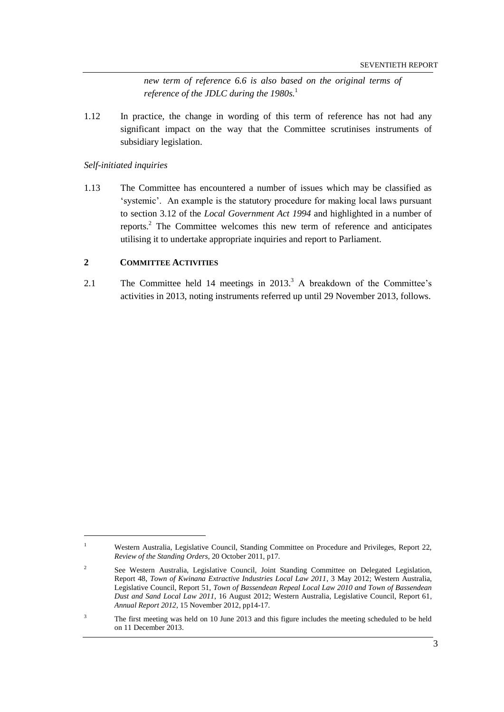*new term of reference 6.6 is also based on the original terms of reference of the JDLC during the 1980s.*<sup>1</sup>

1.12 In practice, the change in wording of this term of reference has not had any significant impact on the way that the Committee scrutinises instruments of subsidiary legislation.

*Self-initiated inquiries*

 $\overline{a}$ 

1.13 The Committee has encountered a number of issues which may be classified as 'systemic'. An example is the statutory procedure for making local laws pursuant to section 3.12 of the *Local Government Act 1994* and highlighted in a number of reports.<sup>2</sup> The Committee welcomes this new term of reference and anticipates utilising it to undertake appropriate inquiries and report to Parliament.

#### **2 COMMITTEE ACTIVITIES**

2.1 The Committee held 14 meetings in  $2013<sup>3</sup>$  A breakdown of the Committee's activities in 2013, noting instruments referred up until 29 November 2013, follows.

<sup>&</sup>lt;sup>1</sup> Western Australia, Legislative Council, Standing Committee on Procedure and Privileges, Report 22, *Review of the Standing Orders*, 20 October 2011, p17.

<sup>2</sup> See Western Australia, Legislative Council, Joint Standing Committee on Delegated Legislation, Report 48, *Town of Kwinana Extractive Industries Local Law 2011*, 3 May 2012; Western Australia, Legislative Council, Report 51, *Town of Bassendean Repeal Local Law 2010 and Town of Bassendean Dust and Sand Local Law 2011*, 16 August 2012; Western Australia, Legislative Council, Report 61, *Annual Report 2012*, 15 November 2012, pp14-17.

<sup>&</sup>lt;sup>3</sup> The first meeting was held on 10 June 2013 and this figure includes the meeting scheduled to be held on 11 December 2013.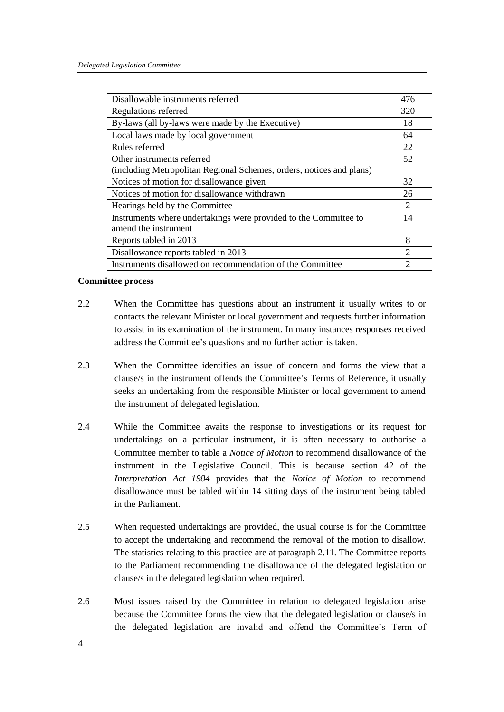| Disallowable instruments referred                                    |                             |
|----------------------------------------------------------------------|-----------------------------|
| Regulations referred                                                 |                             |
| By-laws (all by-laws were made by the Executive)                     |                             |
| Local laws made by local government                                  |                             |
| Rules referred                                                       | 22                          |
| Other instruments referred                                           |                             |
| (including Metropolitan Regional Schemes, orders, notices and plans) |                             |
| Notices of motion for disallowance given                             |                             |
| Notices of motion for disallowance withdrawn                         |                             |
| Hearings held by the Committee                                       | 2                           |
| Instruments where undertakings were provided to the Committee to     |                             |
| amend the instrument                                                 |                             |
| Reports tabled in 2013                                               | 8                           |
| Disallowance reports tabled in 2013                                  | $\mathcal{D}_{\mathcal{L}}$ |
| Instruments disallowed on recommendation of the Committee            |                             |

#### **Committee process**

- 2.2 When the Committee has questions about an instrument it usually writes to or contacts the relevant Minister or local government and requests further information to assist in its examination of the instrument. In many instances responses received address the Committee's questions and no further action is taken.
- 2.3 When the Committee identifies an issue of concern and forms the view that a clause/s in the instrument offends the Committee's Terms of Reference, it usually seeks an undertaking from the responsible Minister or local government to amend the instrument of delegated legislation.
- 2.4 While the Committee awaits the response to investigations or its request for undertakings on a particular instrument, it is often necessary to authorise a Committee member to table a *Notice of Motion* to recommend disallowance of the instrument in the Legislative Council. This is because section 42 of the *Interpretation Act 1984* provides that the *Notice of Motion* to recommend disallowance must be tabled within 14 sitting days of the instrument being tabled in the Parliament.
- 2.5 When requested undertakings are provided, the usual course is for the Committee to accept the undertaking and recommend the removal of the motion to disallow. The statistics relating to this practice are at paragraph 2.11. The Committee reports to the Parliament recommending the disallowance of the delegated legislation or clause/s in the delegated legislation when required.
- 2.6 Most issues raised by the Committee in relation to delegated legislation arise because the Committee forms the view that the delegated legislation or clause/s in the delegated legislation are invalid and offend the Committee's Term of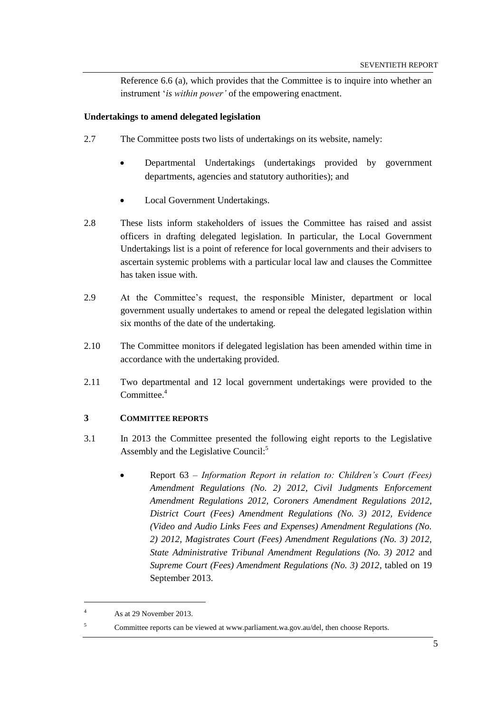Reference 6.6 (a), which provides that the Committee is to inquire into whether an instrument '*is within power'* of the empowering enactment.

#### **Undertakings to amend delegated legislation**

- 2.7 The Committee posts two lists of undertakings on its website, namely:
	- Departmental Undertakings (undertakings provided by government departments, agencies and statutory authorities); and
	- Local Government Undertakings.
- 2.8 These lists inform stakeholders of issues the Committee has raised and assist officers in drafting delegated legislation. In particular, the Local Government Undertakings list is a point of reference for local governments and their advisers to ascertain systemic problems with a particular local law and clauses the Committee has taken issue with.
- 2.9 At the Committee's request, the responsible Minister, department or local government usually undertakes to amend or repeal the delegated legislation within six months of the date of the undertaking.
- 2.10 The Committee monitors if delegated legislation has been amended within time in accordance with the undertaking provided.
- 2.11 Two departmental and 12 local government undertakings were provided to the Committee. 4

#### **3 COMMITTEE REPORTS**

- 3.1 In 2013 the Committee presented the following eight reports to the Legislative Assembly and the Legislative Council:<sup>5</sup>
	- Report 63 *Information Report in relation to: Children's Court (Fees) Amendment Regulations (No. 2) 2012, Civil Judgments Enforcement Amendment Regulations 2012, Coroners Amendment Regulations 2012, District Court (Fees) Amendment Regulations (No. 3) 2012, Evidence (Video and Audio Links Fees and Expenses) Amendment Regulations (No. 2) 2012, Magistrates Court (Fees) Amendment Regulations (No. 3) 2012, State Administrative Tribunal Amendment Regulations (No. 3) 2012* and *Supreme Court (Fees) Amendment Regulations (No. 3) 2012*, tabled on 19 September 2013.

 $\overline{a}$ 

<sup>4</sup> As at 29 November 2013.

<sup>5</sup> Committee reports can be viewed at www.parliament.wa.gov.au/del, then choose Reports.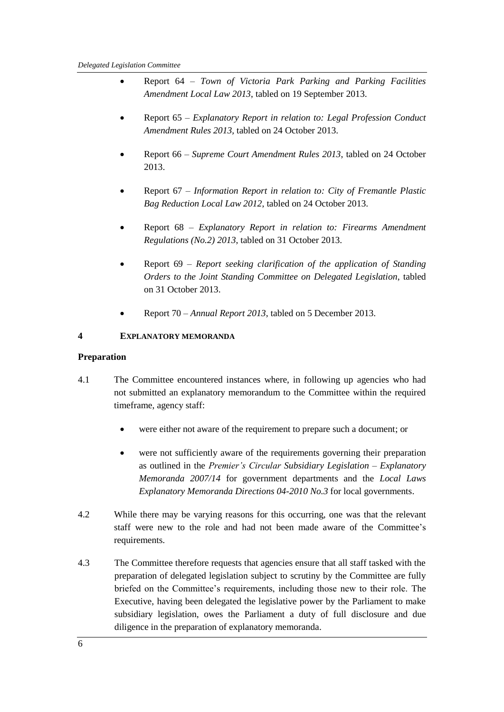- Report 64 *Town of Victoria Park Parking and Parking Facilities Amendment Local Law 2013*, tabled on 19 September 2013.
- Report 65 *Explanatory Report in relation to: Legal Profession Conduct Amendment Rules 2013,* tabled on 24 October 2013.
- Report 66 *Supreme Court Amendment Rules 2013*, tabled on 24 October 2013.
- Report 67 *Information Report in relation to: City of Fremantle Plastic Bag Reduction Local Law 2012*, tabled on 24 October 2013.
- Report 68 *Explanatory Report in relation to: Firearms Amendment Regulations (No.2) 2013*, tabled on 31 October 2013.
- Report 69 *Report seeking clarification of the application of Standing Orders to the Joint Standing Committee on Delegated Legislation*, tabled on 31 October 2013.
- Report 70 *Annual Report 2013*, tabled on 5 December 2013.

## **4 EXPLANATORY MEMORANDA**

#### **Preparation**

- 4.1 The Committee encountered instances where, in following up agencies who had not submitted an explanatory memorandum to the Committee within the required timeframe, agency staff:
	- were either not aware of the requirement to prepare such a document; or
	- were not sufficiently aware of the requirements governing their preparation as outlined in the *Premier's Circular Subsidiary Legislation – Explanatory Memoranda 2007/14* for government departments and the *Local Laws Explanatory Memoranda Directions 04-2010 No.3* for local governments.
- 4.2 While there may be varying reasons for this occurring, one was that the relevant staff were new to the role and had not been made aware of the Committee's requirements.
- 4.3 The Committee therefore requests that agencies ensure that all staff tasked with the preparation of delegated legislation subject to scrutiny by the Committee are fully briefed on the Committee's requirements, including those new to their role. The Executive, having been delegated the legislative power by the Parliament to make subsidiary legislation, owes the Parliament a duty of full disclosure and due diligence in the preparation of explanatory memoranda.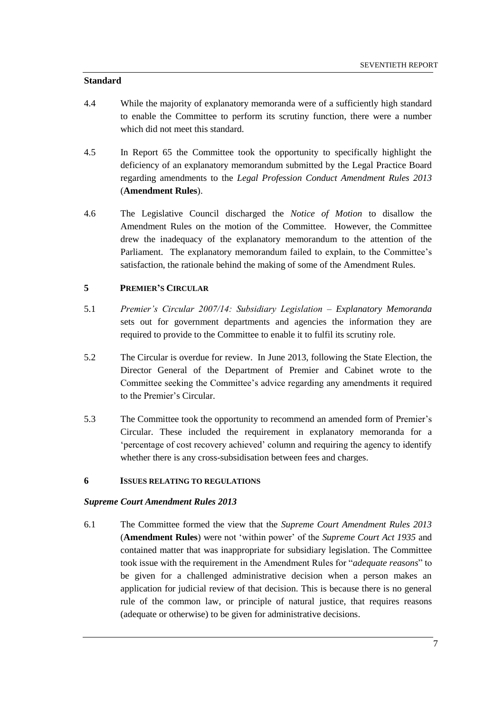#### **Standard**

- 4.4 While the majority of explanatory memoranda were of a sufficiently high standard to enable the Committee to perform its scrutiny function, there were a number which did not meet this standard.
- 4.5 In Report 65 the Committee took the opportunity to specifically highlight the deficiency of an explanatory memorandum submitted by the Legal Practice Board regarding amendments to the *Legal Profession Conduct Amendment Rules 2013* (**Amendment Rules**).
- 4.6 The Legislative Council discharged the *Notice of Motion* to disallow the Amendment Rules on the motion of the Committee. However, the Committee drew the inadequacy of the explanatory memorandum to the attention of the Parliament. The explanatory memorandum failed to explain, to the Committee's satisfaction, the rationale behind the making of some of the Amendment Rules.

#### **5 PREMIER'S CIRCULAR**

- 5.1 *Premier's Circular 2007/14: Subsidiary Legislation – Explanatory Memoranda* sets out for government departments and agencies the information they are required to provide to the Committee to enable it to fulfil its scrutiny role.
- 5.2 The Circular is overdue for review. In June 2013, following the State Election, the Director General of the Department of Premier and Cabinet wrote to the Committee seeking the Committee's advice regarding any amendments it required to the Premier's Circular.
- 5.3 The Committee took the opportunity to recommend an amended form of Premier's Circular. These included the requirement in explanatory memoranda for a 'percentage of cost recovery achieved' column and requiring the agency to identify whether there is any cross-subsidisation between fees and charges.

#### **6 ISSUES RELATING TO REGULATIONS**

#### *Supreme Court Amendment Rules 2013*

6.1 The Committee formed the view that the *Supreme Court Amendment Rules 2013* (**Amendment Rules**) were not 'within power' of the *Supreme Court Act 1935* and contained matter that was inappropriate for subsidiary legislation. The Committee took issue with the requirement in the Amendment Rules for "*adequate reasons*" to be given for a challenged administrative decision when a person makes an application for judicial review of that decision. This is because there is no general rule of the common law, or principle of natural justice, that requires reasons (adequate or otherwise) to be given for administrative decisions.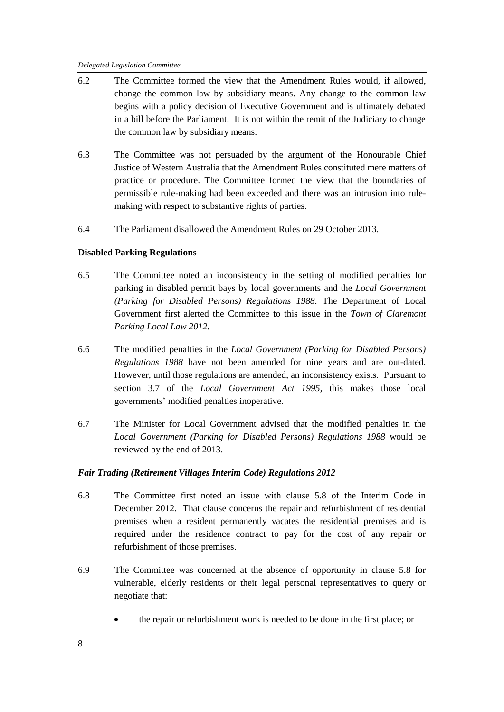- 6.2 The Committee formed the view that the Amendment Rules would, if allowed, change the common law by subsidiary means. Any change to the common law begins with a policy decision of Executive Government and is ultimately debated in a bill before the Parliament. It is not within the remit of the Judiciary to change the common law by subsidiary means.
- 6.3 The Committee was not persuaded by the argument of the Honourable Chief Justice of Western Australia that the Amendment Rules constituted mere matters of practice or procedure. The Committee formed the view that the boundaries of permissible rule-making had been exceeded and there was an intrusion into rulemaking with respect to substantive rights of parties.
- 6.4 The Parliament disallowed the Amendment Rules on 29 October 2013.

#### **Disabled Parking Regulations**

- 6.5 The Committee noted an inconsistency in the setting of modified penalties for parking in disabled permit bays by local governments and the *Local Government (Parking for Disabled Persons) Regulations 1988.* The Department of Local Government first alerted the Committee to this issue in the *Town of Claremont Parking Local Law 2012.*
- 6.6 The modified penalties in the *Local Government (Parking for Disabled Persons) Regulations 1988* have not been amended for nine years and are out-dated. However, until those regulations are amended, an inconsistency exists. Pursuant to section 3.7 of the *Local Government Act 1995*, this makes those local governments' modified penalties inoperative.
- 6.7 The Minister for Local Government advised that the modified penalties in the *Local Government (Parking for Disabled Persons) Regulations 1988* would be reviewed by the end of 2013.

#### *Fair Trading (Retirement Villages Interim Code) Regulations 2012*

- 6.8 The Committee first noted an issue with clause 5.8 of the Interim Code in December 2012. That clause concerns the repair and refurbishment of residential premises when a resident permanently vacates the residential premises and is required under the residence contract to pay for the cost of any repair or refurbishment of those premises.
- 6.9 The Committee was concerned at the absence of opportunity in clause 5.8 for vulnerable, elderly residents or their legal personal representatives to query or negotiate that:
	- the repair or refurbishment work is needed to be done in the first place; or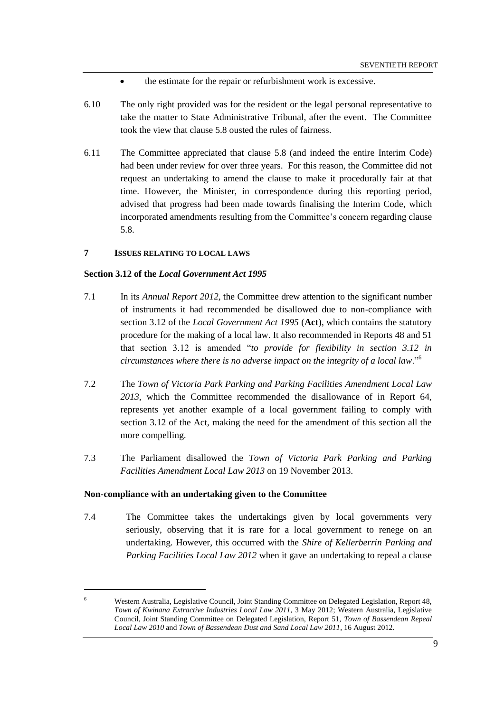- the estimate for the repair or refurbishment work is excessive.
- 6.10 The only right provided was for the resident or the legal personal representative to take the matter to State Administrative Tribunal, after the event. The Committee took the view that clause 5.8 ousted the rules of fairness.
- 6.11 The Committee appreciated that clause 5.8 (and indeed the entire Interim Code) had been under review for over three years. For this reason, the Committee did not request an undertaking to amend the clause to make it procedurally fair at that time. However, the Minister, in correspondence during this reporting period, advised that progress had been made towards finalising the Interim Code, which incorporated amendments resulting from the Committee's concern regarding clause 5.8.

#### **7 ISSUES RELATING TO LOCAL LAWS**

#### **Section 3.12 of the** *Local Government Act 1995*

- 7.1 In its *Annual Report 2012*, the Committee drew attention to the significant number of instruments it had recommended be disallowed due to non-compliance with section 3.12 of the *Local Government Act 1995* (**Act**), which contains the statutory procedure for the making of a local law. It also recommended in Reports 48 and 51 that section 3.12 is amended "*to provide for flexibility in section 3.12 in circumstances where there is no adverse impact on the integrity of a local law*."<sup>6</sup>
- 7.2 The *Town of Victoria Park Parking and Parking Facilities Amendment Local Law 2013*, which the Committee recommended the disallowance of in Report 64, represents yet another example of a local government failing to comply with section 3.12 of the Act, making the need for the amendment of this section all the more compelling.
- 7.3 The Parliament disallowed the *Town of Victoria Park Parking and Parking Facilities Amendment Local Law 2013* on 19 November 2013.

#### **Non-compliance with an undertaking given to the Committee**

 $\overline{a}$ 

7.4 The Committee takes the undertakings given by local governments very seriously, observing that it is rare for a local government to renege on an undertaking. However, this occurred with the *Shire of Kellerberrin Parking and Parking Facilities Local Law 2012* when it gave an undertaking to repeal a clause

<sup>6</sup> Western Australia, Legislative Council, Joint Standing Committee on Delegated Legislation, Report 48, *Town of Kwinana Extractive Industries Local Law 2011*, 3 May 2012; Western Australia, Legislative Council, Joint Standing Committee on Delegated Legislation, Report 51, *Town of Bassendean Repeal Local Law 2010* and *Town of Bassendean Dust and Sand Local Law 2011*, 16 August 2012.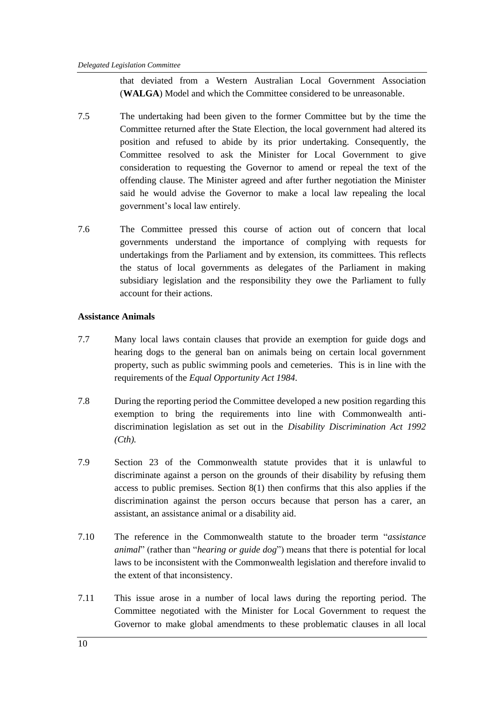that deviated from a Western Australian Local Government Association (**WALGA**) Model and which the Committee considered to be unreasonable.

- 7.5 The undertaking had been given to the former Committee but by the time the Committee returned after the State Election, the local government had altered its position and refused to abide by its prior undertaking. Consequently, the Committee resolved to ask the Minister for Local Government to give consideration to requesting the Governor to amend or repeal the text of the offending clause. The Minister agreed and after further negotiation the Minister said he would advise the Governor to make a local law repealing the local government's local law entirely.
- 7.6 The Committee pressed this course of action out of concern that local governments understand the importance of complying with requests for undertakings from the Parliament and by extension, its committees. This reflects the status of local governments as delegates of the Parliament in making subsidiary legislation and the responsibility they owe the Parliament to fully account for their actions.

#### **Assistance Animals**

- 7.7 Many local laws contain clauses that provide an exemption for guide dogs and hearing dogs to the general ban on animals being on certain local government property, such as public swimming pools and cemeteries. This is in line with the requirements of the *Equal Opportunity Act 1984*.
- 7.8 During the reporting period the Committee developed a new position regarding this exemption to bring the requirements into line with Commonwealth antidiscrimination legislation as set out in the *Disability Discrimination Act 1992 (Cth).*
- 7.9 Section 23 of the Commonwealth statute provides that it is unlawful to discriminate against a person on the grounds of their disability by refusing them access to public premises. Section 8(1) then confirms that this also applies if the discrimination against the person occurs because that person has a carer, an assistant, an assistance animal or a disability aid.
- 7.10 The reference in the Commonwealth statute to the broader term "*assistance animal*" (rather than "*hearing or guide dog*") means that there is potential for local laws to be inconsistent with the Commonwealth legislation and therefore invalid to the extent of that inconsistency.
- 7.11 This issue arose in a number of local laws during the reporting period. The Committee negotiated with the Minister for Local Government to request the Governor to make global amendments to these problematic clauses in all local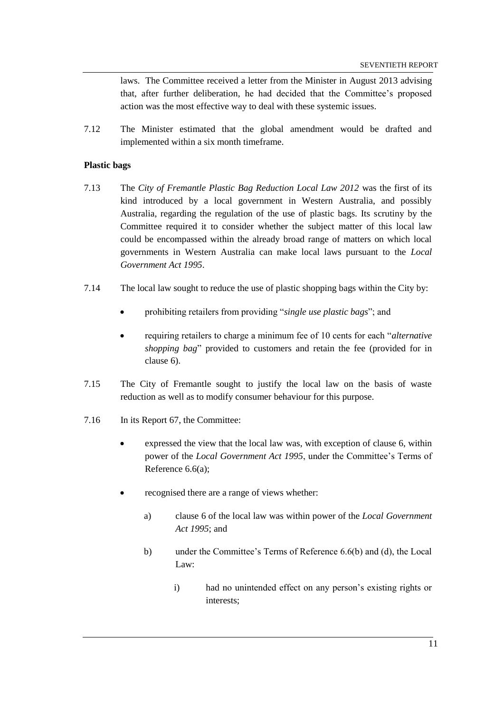laws. The Committee received a letter from the Minister in August 2013 advising that, after further deliberation, he had decided that the Committee's proposed action was the most effective way to deal with these systemic issues.

7.12 The Minister estimated that the global amendment would be drafted and implemented within a six month timeframe.

#### **Plastic bags**

- 7.13 The *City of Fremantle Plastic Bag Reduction Local Law 2012* was the first of its kind introduced by a local government in Western Australia, and possibly Australia, regarding the regulation of the use of plastic bags. Its scrutiny by the Committee required it to consider whether the subject matter of this local law could be encompassed within the already broad range of matters on which local governments in Western Australia can make local laws pursuant to the *Local Government Act 1995*.
- 7.14 The local law sought to reduce the use of plastic shopping bags within the City by:
	- prohibiting retailers from providing "*single use plastic bags*"; and
	- requiring retailers to charge a minimum fee of 10 cents for each "*alternative shopping bag*" provided to customers and retain the fee (provided for in clause 6).
- 7.15 The City of Fremantle sought to justify the local law on the basis of waste reduction as well as to modify consumer behaviour for this purpose.
- 7.16 In its Report 67, the Committee:
	- expressed the view that the local law was, with exception of clause 6, within power of the *Local Government Act 1995*, under the Committee's Terms of Reference 6.6(a);
	- recognised there are a range of views whether:
		- a) clause 6 of the local law was within power of the *Local Government Act 1995*; and
		- b) under the Committee's Terms of Reference 6.6(b) and (d), the Local Law:
			- i) had no unintended effect on any person's existing rights or interests;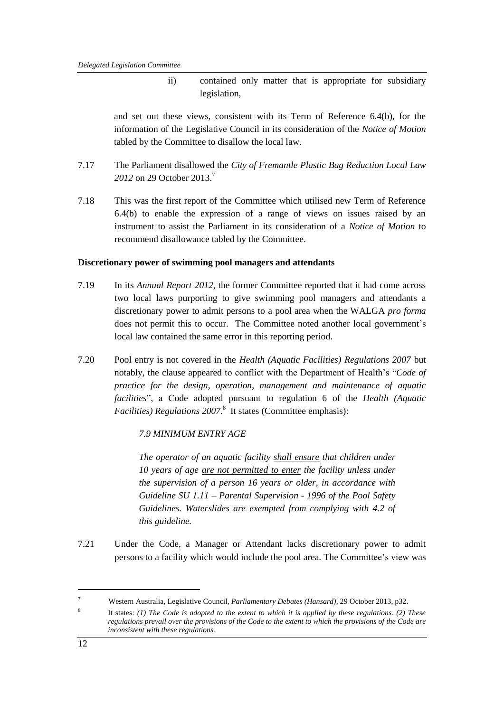ii) contained only matter that is appropriate for subsidiary legislation,

and set out these views, consistent with its Term of Reference 6.4(b), for the information of the Legislative Council in its consideration of the *Notice of Motion* tabled by the Committee to disallow the local law.

- 7.17 The Parliament disallowed the *City of Fremantle Plastic Bag Reduction Local Law 2012* on 29 October 2013.<sup>7</sup>
- 7.18 This was the first report of the Committee which utilised new Term of Reference 6.4(b) to enable the expression of a range of views on issues raised by an instrument to assist the Parliament in its consideration of a *Notice of Motion* to recommend disallowance tabled by the Committee.

#### **Discretionary power of swimming pool managers and attendants**

- 7.19 In its *Annual Report 2012*, the former Committee reported that it had come across two local laws purporting to give swimming pool managers and attendants a discretionary power to admit persons to a pool area when the WALGA *pro forma*  does not permit this to occur. The Committee noted another local government's local law contained the same error in this reporting period.
- 7.20 Pool entry is not covered in the *Health (Aquatic Facilities) Regulations 2007* but notably, the clause appeared to conflict with the Department of Health's "*Code of practice for the design, operation, management and maintenance of aquatic facilities*", a Code adopted pursuant to regulation 6 of the *Health (Aquatic*  Facilities) Regulations 2007.<sup>8</sup> It states (Committee emphasis):

#### *7.9 MINIMUM ENTRY AGE*

*The operator of an aquatic facility shall ensure that children under 10 years of age are not permitted to enter the facility unless under the supervision of a person 16 years or older, in accordance with Guideline SU 1.11 – Parental Supervision - 1996 of the Pool Safety Guidelines. Waterslides are exempted from complying with 4.2 of this guideline.* 

7.21 Under the Code, a Manager or Attendant lacks discretionary power to admit persons to a facility which would include the pool area. The Committee's view was

 $\overline{a}$ 

<sup>7</sup> Western Australia, Legislative Council, *Parliamentary Debates (Hansard),* 29 October 2013, p32.

<sup>8</sup> It states: *(1) The Code is adopted to the extent to which it is applied by these regulations. (2) These regulations prevail over the provisions of the Code to the extent to which the provisions of the Code are inconsistent with these regulations.*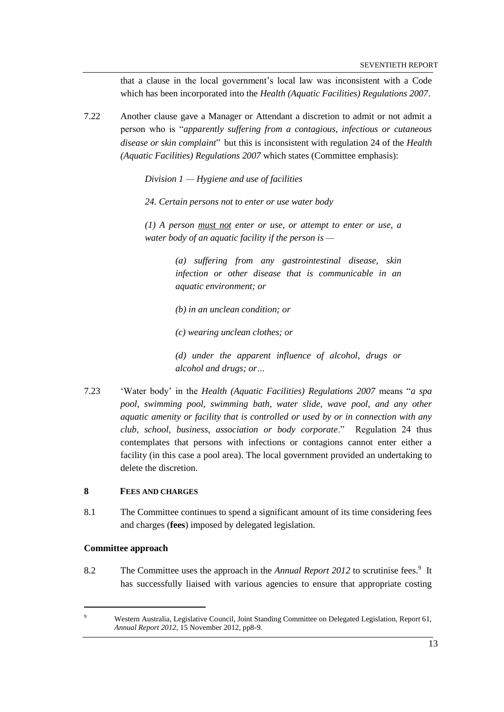that a clause in the local government's local law was inconsistent with a Code which has been incorporated into the *Health (Aquatic Facilities) Regulations 2007*.

7.22 Another clause gave a Manager or Attendant a discretion to admit or not admit a person who is "*apparently suffering from a contagious, infectious or cutaneous disease or skin complaint*" but this is inconsistent with regulation 24 of the *Health (Aquatic Facilities) Regulations 2007* which states (Committee emphasis):

*Division 1 — Hygiene and use of facilities*

*24. Certain persons not to enter or use water body*

*(1) A person must not enter or use, or attempt to enter or use, a water body of an aquatic facility if the person is —*

> *(a) suffering from any gastrointestinal disease, skin infection or other disease that is communicable in an aquatic environment; or*

*(b) in an unclean condition; or*

*(c) wearing unclean clothes; or*

*(d) under the apparent influence of alcohol, drugs or alcohol and drugs; or…*

7.23 'Water body' in the *Health (Aquatic Facilities) Regulations 2007* means "*a spa pool, swimming pool, swimming bath, water slide, wave pool, and any other aquatic amenity or facility that is controlled or used by or in connection with any club, school, business, association or body corporate*." Regulation 24 thus contemplates that persons with infections or contagions cannot enter either a facility (in this case a pool area). The local government provided an undertaking to delete the discretion.

#### **8 FEES AND CHARGES**

8.1 The Committee continues to spend a significant amount of its time considering fees and charges (**fees**) imposed by delegated legislation.

#### **Committee approach**

 $\overline{a}$ 

8.2 The Committee uses the approach in the *Annual Report 2012* to scrutinise fees.<sup>9</sup> It has successfully liaised with various agencies to ensure that appropriate costing

Western Australia, Legislative Council, Joint Standing Committee on Delegated Legislation, Report 61, *Annual Report 2012*, 15 November 2012, pp8-9.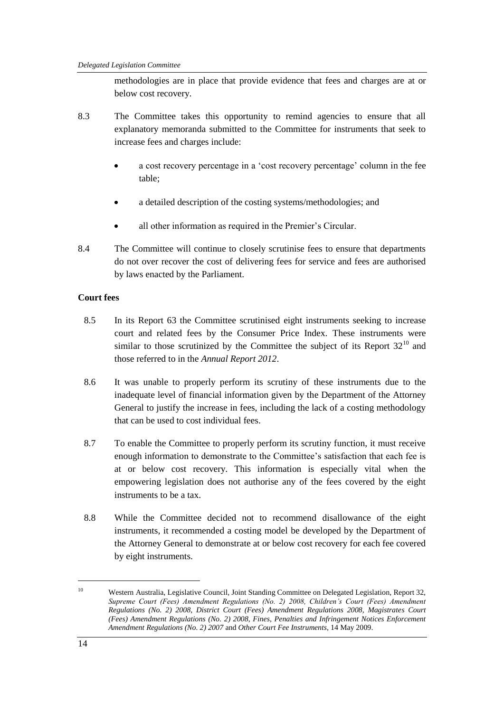methodologies are in place that provide evidence that fees and charges are at or below cost recovery.

- 8.3 The Committee takes this opportunity to remind agencies to ensure that all explanatory memoranda submitted to the Committee for instruments that seek to increase fees and charges include:
	- a cost recovery percentage in a 'cost recovery percentage' column in the fee table;
	- a detailed description of the costing systems/methodologies; and
	- all other information as required in the Premier's Circular.
- 8.4 The Committee will continue to closely scrutinise fees to ensure that departments do not over recover the cost of delivering fees for service and fees are authorised by laws enacted by the Parliament.

#### **Court fees**

- 8.5 In its Report 63 the Committee scrutinised eight instruments seeking to increase court and related fees by the Consumer Price Index. These instruments were similar to those scrutinized by the Committee the subject of its Report  $32^{10}$  and those referred to in the *Annual Report 2012*.
- 8.6 It was unable to properly perform its scrutiny of these instruments due to the inadequate level of financial information given by the Department of the Attorney General to justify the increase in fees, including the lack of a costing methodology that can be used to cost individual fees.
- 8.7 To enable the Committee to properly perform its scrutiny function, it must receive enough information to demonstrate to the Committee's satisfaction that each fee is at or below cost recovery. This information is especially vital when the empowering legislation does not authorise any of the fees covered by the eight instruments to be a tax.
- 8.8 While the Committee decided not to recommend disallowance of the eight instruments, it recommended a costing model be developed by the Department of the Attorney General to demonstrate at or below cost recovery for each fee covered by eight instruments.

 $\overline{a}$ 

<sup>10</sup> Western Australia, Legislative Council, Joint Standing Committee on Delegated Legislation, Report 32, *Supreme Court (Fees) Amendment Regulations (No. 2) 2008, Children's Court (Fees) Amendment Regulations (No. 2) 2008, District Court (Fees) Amendment Regulations 2008, Magistrates Court (Fees) Amendment Regulations (No. 2) 2008, Fines, Penalties and Infringement Notices Enforcement Amendment Regulations (No. 2) 2007* and *Other Court Fee Instruments*, 14 May 2009.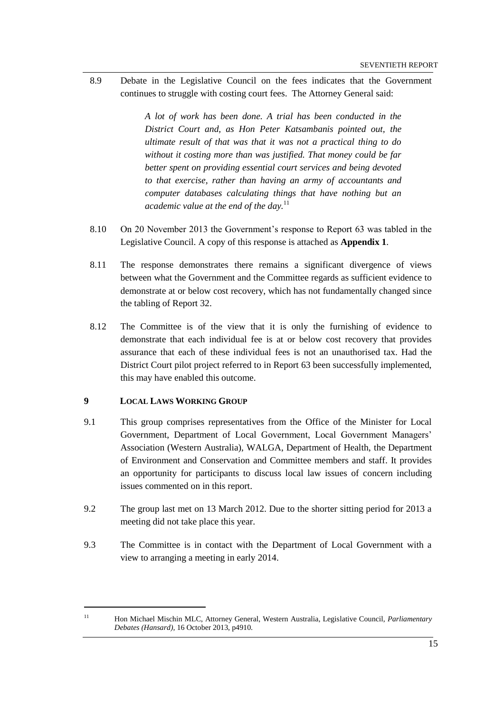8.9 Debate in the Legislative Council on the fees indicates that the Government continues to struggle with costing court fees. The Attorney General said:

> *A lot of work has been done. A trial has been conducted in the District Court and, as Hon Peter Katsambanis pointed out, the ultimate result of that was that it was not a practical thing to do without it costing more than was justified. That money could be far better spent on providing essential court services and being devoted to that exercise, rather than having an army of accountants and computer databases calculating things that have nothing but an academic value at the end of the day.*<sup>11</sup>

- 8.10 On 20 November 2013 the Government's response to Report 63 was tabled in the Legislative Council. A copy of this response is attached as **Appendix 1**.
- 8.11 The response demonstrates there remains a significant divergence of views between what the Government and the Committee regards as sufficient evidence to demonstrate at or below cost recovery, which has not fundamentally changed since the tabling of Report 32.
- 8.12 The Committee is of the view that it is only the furnishing of evidence to demonstrate that each individual fee is at or below cost recovery that provides assurance that each of these individual fees is not an unauthorised tax. Had the District Court pilot project referred to in Report 63 been successfully implemented, this may have enabled this outcome.

#### **9 LOCAL LAWS WORKING GROUP**

 $\overline{a}$ 

- 9.1 This group comprises representatives from the Office of the Minister for Local Government, Department of Local Government, Local Government Managers' Association (Western Australia), WALGA, Department of Health, the Department of Environment and Conservation and Committee members and staff. It provides an opportunity for participants to discuss local law issues of concern including issues commented on in this report.
- 9.2 The group last met on 13 March 2012. Due to the shorter sitting period for 2013 a meeting did not take place this year.
- 9.3 The Committee is in contact with the Department of Local Government with a view to arranging a meeting in early 2014.

<sup>11</sup> Hon Michael Mischin MLC, Attorney General, Western Australia, Legislative Council, *Parliamentary Debates (Hansard),* 16 October 2013, p4910.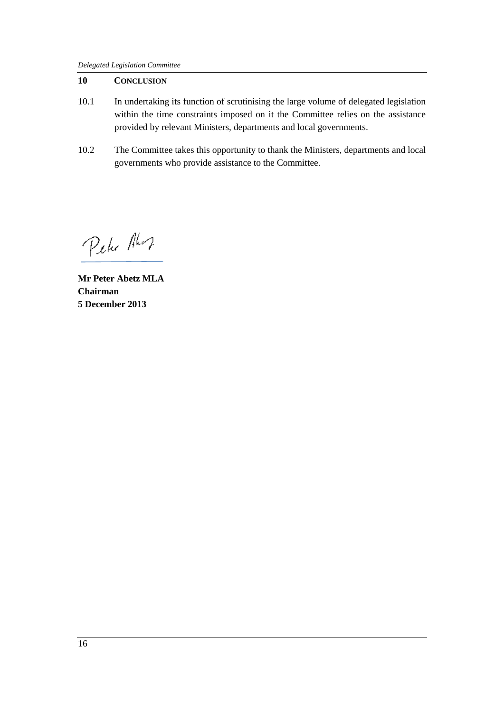## **10 CONCLUSION**

- 10.1 In undertaking its function of scrutinising the large volume of delegated legislation within the time constraints imposed on it the Committee relies on the assistance provided by relevant Ministers, departments and local governments.
- 10.2 The Committee takes this opportunity to thank the Ministers, departments and local governments who provide assistance to the Committee.

Peter Alor

**Mr Peter Abetz MLA Chairman 5 December 2013**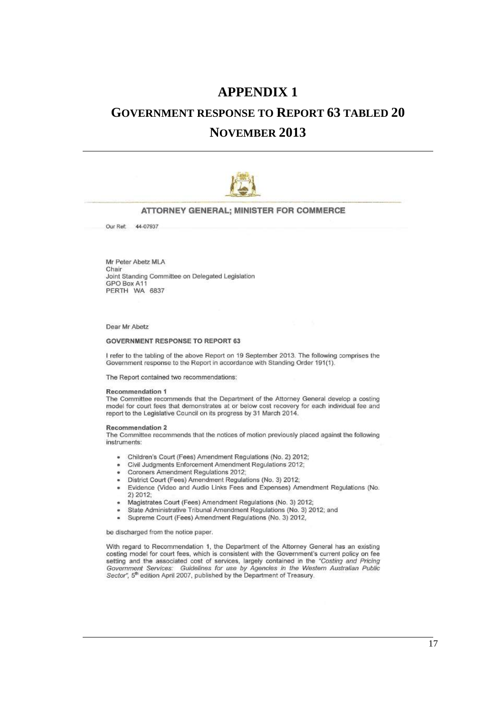## **APPENDIX 1**

# **GOVERNMENT RESPONSE TO REPORT 63 TABLED 20**

## **NOVEMBER 2013**



#### ATTORNEY GENERAL; MINISTER FOR COMMERCE

Our Ref: 44-07937

Mr Peter Abetz MLA Chair Joint Standing Committee on Delegated Legislation GPO Box A11 PERTH WA 6837

Dear Mr Abetz

#### **GOVERNMENT RESPONSE TO REPORT 63**

I refer to the tabling of the above Report on 19 September 2013. The following comprises the Government response to the Report in accordance with Standing Order 191(1).

The Report contained two recommendations:

#### Recommendation 1

The Committee recommends that the Department of the Attorney General develop a costing model for court fees that demonstrates at or below cost recovery for each individual fee and report to the Legislative Council on its progress by 31 March 2014.

#### Recommendation 2

The Committee recommends that the notices of motion previously placed against the following instruments:

- Children's Court (Fees) Amendment Regulations (No. 2) 2012;  $\overline{\phantom{a}}$
- Civil Judgments Enforcement Amendment Regulations 2012;
- Coroners Amendment Regulations 2012;
- District Court (Fees) Amendment Regulations (No. 3) 2012:  $\bullet$
- Evidence (Video and Audio Links Fees and Expenses) Amendment Regulations (No.  $\ddot{\bullet}$ 2) 2012:
- Magistrates Court (Fees) Amendment Regulations (No. 3) 2012;
- State Administrative Tribunal Amendment Regulations (No. 3) 2012; and
- Supreme Court (Fees) Amendment Regulations (No. 3) 2012, ÷

be discharged from the notice paper.

With regard to Recommendation 1, the Department of the Attorney General has an existing costing model for court fees, which is consistent with the Government's current policy on fee setting and the associated cost of services, largely contained in the "Costing and Pricing Government Services: Guidelines for use by Agencies in the Western Australian Public Sector", 5<sup>th</sup> edition April 2007, published by the Department of Treasury,